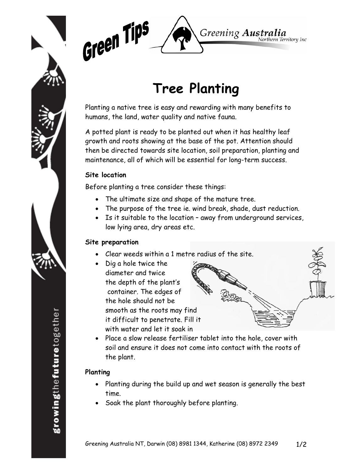



# **Tree Planting**

Planting a native tree is easy and rewarding with many benefits to humans, the land, water quality and native fauna.

A potted plant is ready to be planted out when it has healthy leaf growth and roots showing at the base of the pot. Attention should then be directed towards site location, soil preparation, planting and maintenance, all of which will be essential for long-term success.

#### **Site location**

Before planting a tree consider these things:

- The ultimate size and shape of the mature tree.
- The purpose of the tree ie. wind break, shade, dust reduction.
- Is it suitable to the location away from underground services, low lying area, dry areas etc.

## **Site preparation**

- Clear weeds within a 1 metre radius of the site.
- Dig a hole twice the diameter and twice the depth of the plant's container. The edges of the hole should not be smooth as the roots may find it difficult to penetrate. Fill it with water and let it soak in



• Place a slow release fertiliser tablet into the hole, cover with soil and ensure it does not come into contact with the roots of the plant.

## **Planting**

- Planting during the build up and wet season is generally the best time.
- Soak the plant thoroughly before planting.